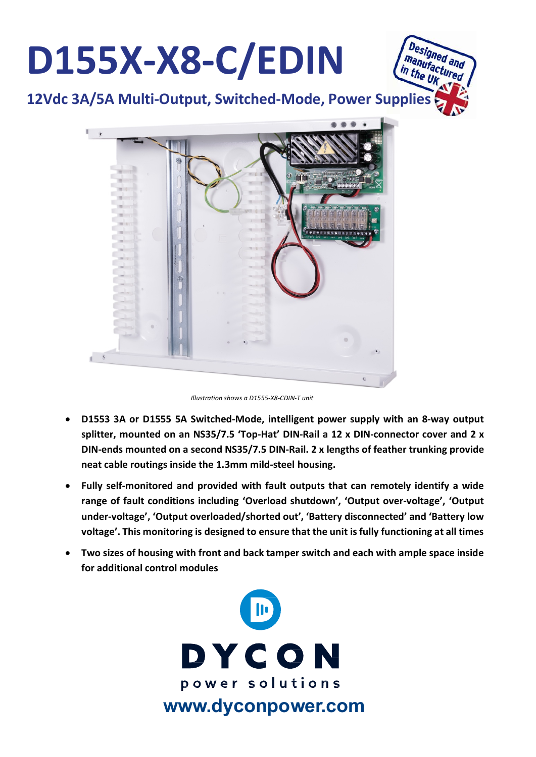

*Illustration shows a D1555-X8-CDIN-T unit*

- **D1553 3A or D1555 5A Switched-Mode, intelligent power supply with an 8-way output splitter, mounted on an NS35/7.5 'Top-Hat' DIN-Rail a 12 x DIN-connector cover and 2 x DIN-ends mounted on a second NS35/7.5 DIN-Rail. 2 x lengths of feather trunking provide neat cable routings inside the 1.3mm mild-steel housing.**
- **Fully self-monitored and provided with fault outputs that can remotely identify a wide range of fault conditions including 'Overload shutdown', 'Output over-voltage', 'Output under-voltage', 'Output overloaded/shorted out', 'Battery disconnected' and 'Battery low voltage'. This monitoring is designed to ensure that the unit is fully functioning at all times**
- **Two sizes of housing with front and back tamper switch and each with ample space inside for additional control modules**

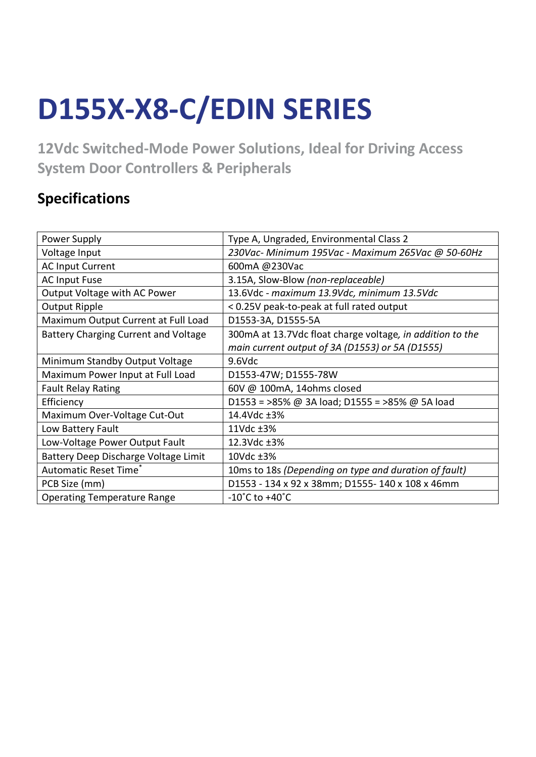## **D155X-X8-C/EDIN SERIES**

**12Vdc Switched-Mode Power Solutions, Ideal for Driving Access System Door Controllers & Peripherals**

## **Specifications**

| Power Supply                                | Type A, Ungraded, Environmental Class 2                   |  |  |
|---------------------------------------------|-----------------------------------------------------------|--|--|
| Voltage Input                               | 230Vac- Minimum 195Vac - Maximum 265Vac @ 50-60Hz         |  |  |
| <b>AC Input Current</b>                     | 600mA @230Vac                                             |  |  |
| <b>AC Input Fuse</b>                        | 3.15A, Slow-Blow (non-replaceable)                        |  |  |
| Output Voltage with AC Power                | 13.6Vdc - maximum 13.9Vdc, minimum 13.5Vdc                |  |  |
| Output Ripple                               | < 0.25V peak-to-peak at full rated output                 |  |  |
| Maximum Output Current at Full Load         | D1553-3A, D1555-5A                                        |  |  |
| <b>Battery Charging Current and Voltage</b> | 300mA at 13.7Vdc float charge voltage, in addition to the |  |  |
|                                             | main current output of 3A (D1553) or 5A (D1555)           |  |  |
| Minimum Standby Output Voltage              | 9.6Vdc                                                    |  |  |
| Maximum Power Input at Full Load            | D1553-47W; D1555-78W                                      |  |  |
| <b>Fault Relay Rating</b>                   | 60V @ 100mA, 14ohms closed                                |  |  |
| Efficiency                                  | D1553 = >85% @ 3A load; D1555 = >85% @ 5A load            |  |  |
| Maximum Over-Voltage Cut-Out                | 14.4Vdc ±3%                                               |  |  |
| Low Battery Fault                           | 11Vdc ±3%                                                 |  |  |
| Low-Voltage Power Output Fault              | 12.3Vdc ±3%                                               |  |  |
| Battery Deep Discharge Voltage Limit        | 10Vdc ±3%                                                 |  |  |
| Automatic Reset Time <sup>*</sup>           | 10ms to 18s (Depending on type and duration of fault)     |  |  |
| PCB Size (mm)                               | D1553 - 134 x 92 x 38mm; D1555-140 x 108 x 46mm           |  |  |
| <b>Operating Temperature Range</b>          | $-10^{\circ}$ C to $+40^{\circ}$ C                        |  |  |